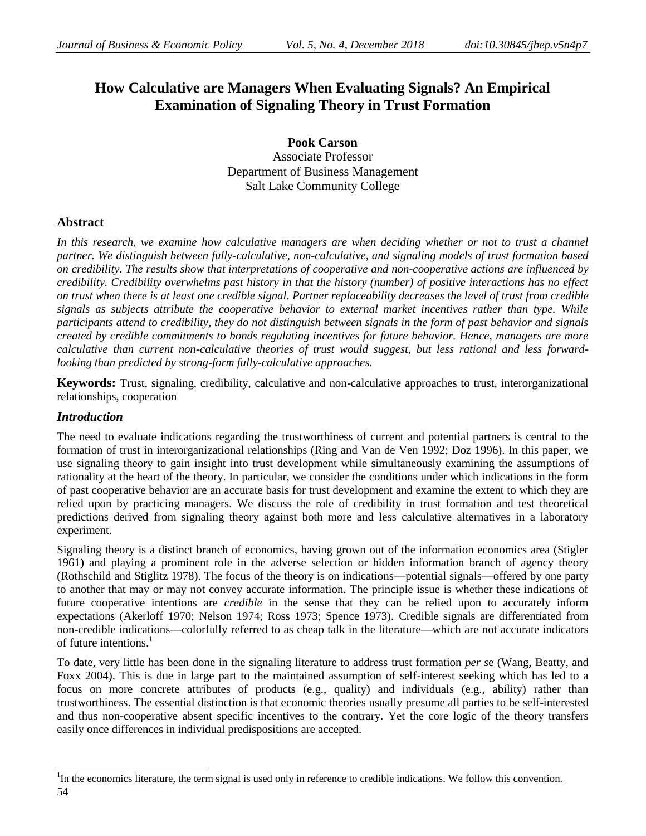# **How Calculative are Managers When Evaluating Signals? An Empirical Examination of Signaling Theory in Trust Formation**

**Pook Carson**

Associate Professor Department of Business Management Salt Lake Community College

# **Abstract**

In this research, we examine how calculative managers are when deciding whether or not to trust a channel *partner. We distinguish between fully-calculative, non-calculative, and signaling models of trust formation based on credibility. The results show that interpretations of cooperative and non-cooperative actions are influenced by credibility. Credibility overwhelms past history in that the history (number) of positive interactions has no effect on trust when there is at least one credible signal. Partner replaceability decreases the level of trust from credible signals as subjects attribute the cooperative behavior to external market incentives rather than type. While participants attend to credibility, they do not distinguish between signals in the form of past behavior and signals created by credible commitments to bonds regulating incentives for future behavior. Hence, managers are more calculative than current non-calculative theories of trust would suggest, but less rational and less forwardlooking than predicted by strong-form fully-calculative approaches.*

**Keywords:** Trust, signaling, credibility, calculative and non-calculative approaches to trust, interorganizational relationships, cooperation

## *Introduction*

 $\overline{a}$ 

The need to evaluate indications regarding the trustworthiness of current and potential partners is central to the formation of trust in interorganizational relationships (Ring and Van de Ven 1992; Doz 1996). In this paper, we use signaling theory to gain insight into trust development while simultaneously examining the assumptions of rationality at the heart of the theory. In particular, we consider the conditions under which indications in the form of past cooperative behavior are an accurate basis for trust development and examine the extent to which they are relied upon by practicing managers. We discuss the role of credibility in trust formation and test theoretical predictions derived from signaling theory against both more and less calculative alternatives in a laboratory experiment.

Signaling theory is a distinct branch of economics, having grown out of the information economics area (Stigler 1961) and playing a prominent role in the adverse selection or hidden information branch of agency theory (Rothschild and Stiglitz 1978). The focus of the theory is on indications—potential signals—offered by one party to another that may or may not convey accurate information. The principle issue is whether these indications of future cooperative intentions are *credible* in the sense that they can be relied upon to accurately inform expectations (Akerloff 1970; Nelson 1974; Ross 1973; Spence 1973). Credible signals are differentiated from non-credible indications—colorfully referred to as cheap talk in the literature—which are not accurate indicators of future intentions. $<sup>1</sup>$ </sup>

To date, very little has been done in the signaling literature to address trust formation *per s*e (Wang, Beatty, and Foxx 2004). This is due in large part to the maintained assumption of self-interest seeking which has led to a focus on more concrete attributes of products (e.g., quality) and individuals (e.g., ability) rather than trustworthiness. The essential distinction is that economic theories usually presume all parties to be self-interested and thus non-cooperative absent specific incentives to the contrary. Yet the core logic of the theory transfers easily once differences in individual predispositions are accepted.

<sup>54</sup> <sup>1</sup>In the economics literature, the term signal is used only in reference to credible indications. We follow this convention.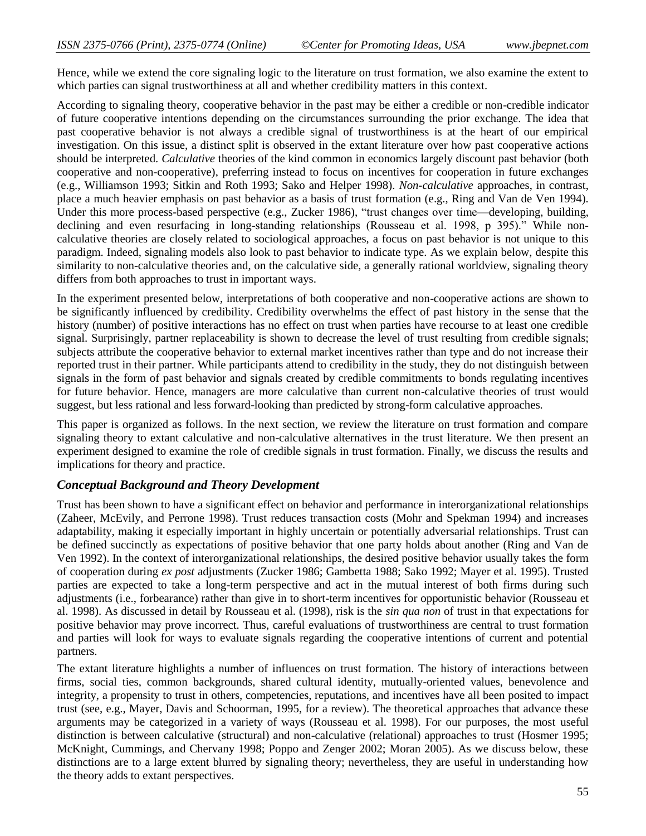Hence, while we extend the core signaling logic to the literature on trust formation, we also examine the extent to which parties can signal trustworthiness at all and whether credibility matters in this context.

According to signaling theory, cooperative behavior in the past may be either a credible or non-credible indicator of future cooperative intentions depending on the circumstances surrounding the prior exchange. The idea that past cooperative behavior is not always a credible signal of trustworthiness is at the heart of our empirical investigation. On this issue, a distinct split is observed in the extant literature over how past cooperative actions should be interpreted. *Calculative* theories of the kind common in economics largely discount past behavior (both cooperative and non-cooperative), preferring instead to focus on incentives for cooperation in future exchanges (e.g., Williamson 1993; Sitkin and Roth 1993; Sako and Helper 1998). *Non-calculative* approaches, in contrast, place a much heavier emphasis on past behavior as a basis of trust formation (e.g., Ring and Van de Ven 1994). Under this more process-based perspective (e.g., Zucker 1986), "trust changes over time—developing, building, declining and even resurfacing in long-standing relationships (Rousseau et al. 1998, p 395)." While noncalculative theories are closely related to sociological approaches, a focus on past behavior is not unique to this paradigm. Indeed, signaling models also look to past behavior to indicate type. As we explain below, despite this similarity to non-calculative theories and, on the calculative side, a generally rational worldview, signaling theory differs from both approaches to trust in important ways.

In the experiment presented below, interpretations of both cooperative and non-cooperative actions are shown to be significantly influenced by credibility. Credibility overwhelms the effect of past history in the sense that the history (number) of positive interactions has no effect on trust when parties have recourse to at least one credible signal. Surprisingly, partner replaceability is shown to decrease the level of trust resulting from credible signals; subjects attribute the cooperative behavior to external market incentives rather than type and do not increase their reported trust in their partner. While participants attend to credibility in the study, they do not distinguish between signals in the form of past behavior and signals created by credible commitments to bonds regulating incentives for future behavior. Hence, managers are more calculative than current non-calculative theories of trust would suggest, but less rational and less forward-looking than predicted by strong-form calculative approaches.

This paper is organized as follows. In the next section, we review the literature on trust formation and compare signaling theory to extant calculative and non-calculative alternatives in the trust literature. We then present an experiment designed to examine the role of credible signals in trust formation. Finally, we discuss the results and implications for theory and practice.

## *Conceptual Background and Theory Development*

Trust has been shown to have a significant effect on behavior and performance in interorganizational relationships (Zaheer, McEvily, and Perrone 1998). Trust reduces transaction costs (Mohr and Spekman 1994) and increases adaptability, making it especially important in highly uncertain or potentially adversarial relationships. Trust can be defined succinctly as expectations of positive behavior that one party holds about another (Ring and Van de Ven 1992). In the context of interorganizational relationships, the desired positive behavior usually takes the form of cooperation during *ex post* adjustments (Zucker 1986; Gambetta 1988; Sako 1992; Mayer et al. 1995). Trusted parties are expected to take a long-term perspective and act in the mutual interest of both firms during such adjustments (i.e., forbearance) rather than give in to short-term incentives for opportunistic behavior (Rousseau et al. 1998). As discussed in detail by Rousseau et al. (1998), risk is the *sin qua non* of trust in that expectations for positive behavior may prove incorrect. Thus, careful evaluations of trustworthiness are central to trust formation and parties will look for ways to evaluate signals regarding the cooperative intentions of current and potential partners.

The extant literature highlights a number of influences on trust formation. The history of interactions between firms, social ties, common backgrounds, shared cultural identity, mutually-oriented values, benevolence and integrity, a propensity to trust in others, competencies, reputations, and incentives have all been posited to impact trust (see, e.g., Mayer, Davis and Schoorman, 1995, for a review). The theoretical approaches that advance these arguments may be categorized in a variety of ways (Rousseau et al. 1998). For our purposes, the most useful distinction is between calculative (structural) and non-calculative (relational) approaches to trust (Hosmer 1995; McKnight, Cummings, and Chervany 1998; Poppo and Zenger 2002; Moran 2005). As we discuss below, these distinctions are to a large extent blurred by signaling theory; nevertheless, they are useful in understanding how the theory adds to extant perspectives.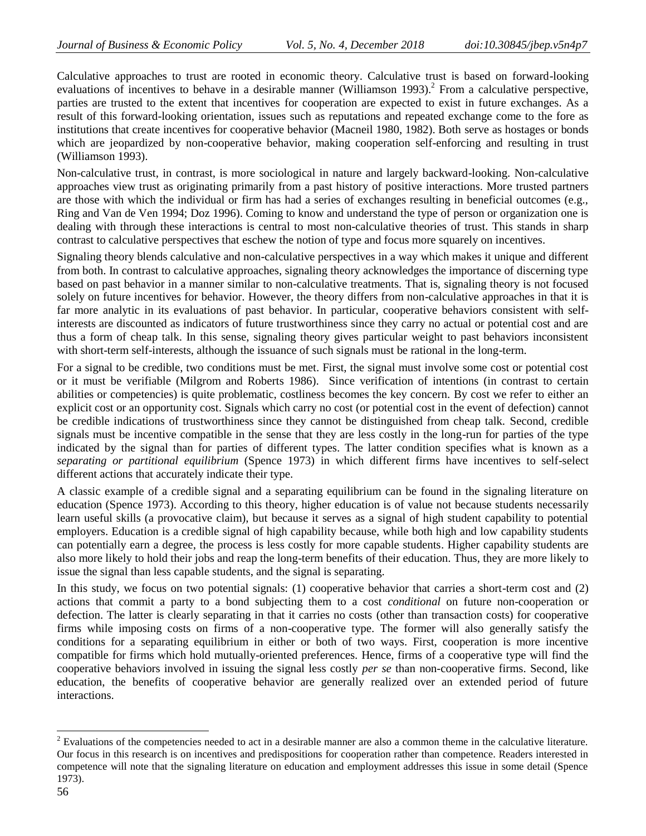Calculative approaches to trust are rooted in economic theory. Calculative trust is based on forward-looking evaluations of incentives to behave in a desirable manner (Williamson 1993).<sup>2</sup> From a calculative perspective, parties are trusted to the extent that incentives for cooperation are expected to exist in future exchanges. As a result of this forward-looking orientation, issues such as reputations and repeated exchange come to the fore as institutions that create incentives for cooperative behavior (Macneil 1980, 1982). Both serve as hostages or bonds which are jeopardized by non-cooperative behavior, making cooperation self-enforcing and resulting in trust (Williamson 1993).

Non-calculative trust, in contrast, is more sociological in nature and largely backward-looking. Non-calculative approaches view trust as originating primarily from a past history of positive interactions. More trusted partners are those with which the individual or firm has had a series of exchanges resulting in beneficial outcomes (e.g., Ring and Van de Ven 1994; Doz 1996). Coming to know and understand the type of person or organization one is dealing with through these interactions is central to most non-calculative theories of trust. This stands in sharp contrast to calculative perspectives that eschew the notion of type and focus more squarely on incentives.

Signaling theory blends calculative and non-calculative perspectives in a way which makes it unique and different from both. In contrast to calculative approaches, signaling theory acknowledges the importance of discerning type based on past behavior in a manner similar to non-calculative treatments. That is, signaling theory is not focused solely on future incentives for behavior. However, the theory differs from non-calculative approaches in that it is far more analytic in its evaluations of past behavior. In particular, cooperative behaviors consistent with selfinterests are discounted as indicators of future trustworthiness since they carry no actual or potential cost and are thus a form of cheap talk. In this sense, signaling theory gives particular weight to past behaviors inconsistent with short-term self-interests, although the issuance of such signals must be rational in the long-term.

For a signal to be credible, two conditions must be met. First, the signal must involve some cost or potential cost or it must be verifiable (Milgrom and Roberts 1986). Since verification of intentions (in contrast to certain abilities or competencies) is quite problematic, costliness becomes the key concern. By cost we refer to either an explicit cost or an opportunity cost. Signals which carry no cost (or potential cost in the event of defection) cannot be credible indications of trustworthiness since they cannot be distinguished from cheap talk. Second, credible signals must be incentive compatible in the sense that they are less costly in the long-run for parties of the type indicated by the signal than for parties of different types. The latter condition specifies what is known as a *separating or partitional equilibrium* (Spence 1973) in which different firms have incentives to self-select different actions that accurately indicate their type.

A classic example of a credible signal and a separating equilibrium can be found in the signaling literature on education (Spence 1973). According to this theory, higher education is of value not because students necessarily learn useful skills (a provocative claim), but because it serves as a signal of high student capability to potential employers. Education is a credible signal of high capability because, while both high and low capability students can potentially earn a degree, the process is less costly for more capable students. Higher capability students are also more likely to hold their jobs and reap the long-term benefits of their education. Thus, they are more likely to issue the signal than less capable students, and the signal is separating.

In this study, we focus on two potential signals: (1) cooperative behavior that carries a short-term cost and (2) actions that commit a party to a bond subjecting them to a cost *conditional* on future non-cooperation or defection. The latter is clearly separating in that it carries no costs (other than transaction costs) for cooperative firms while imposing costs on firms of a non-cooperative type. The former will also generally satisfy the conditions for a separating equilibrium in either or both of two ways. First, cooperation is more incentive compatible for firms which hold mutually-oriented preferences. Hence, firms of a cooperative type will find the cooperative behaviors involved in issuing the signal less costly *per se* than non-cooperative firms. Second, like education, the benefits of cooperative behavior are generally realized over an extended period of future interactions.

 $\overline{a}$ 

 $2^2$  Evaluations of the competencies needed to act in a desirable manner are also a common theme in the calculative literature. Our focus in this research is on incentives and predispositions for cooperation rather than competence. Readers interested in competence will note that the signaling literature on education and employment addresses this issue in some detail (Spence 1973).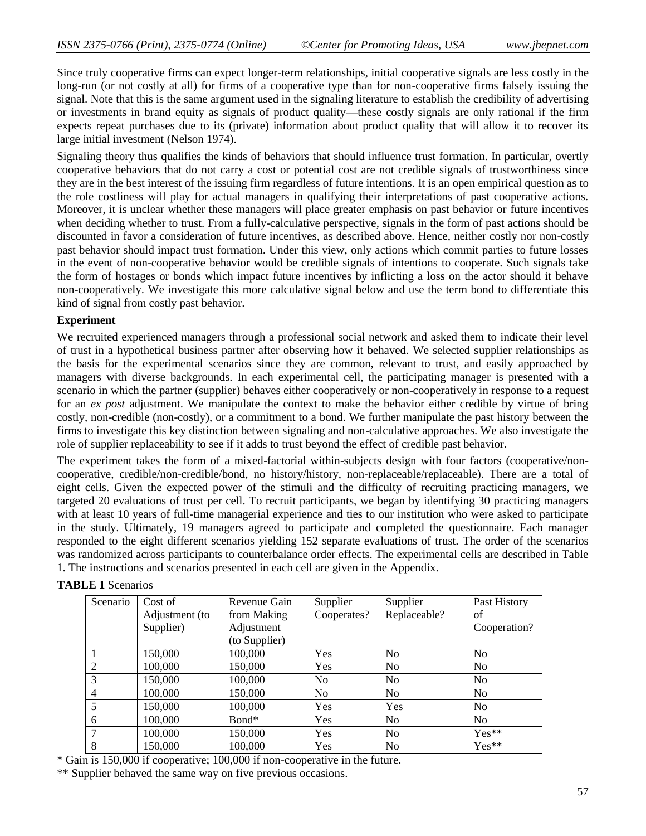Since truly cooperative firms can expect longer-term relationships, initial cooperative signals are less costly in the long-run (or not costly at all) for firms of a cooperative type than for non-cooperative firms falsely issuing the signal. Note that this is the same argument used in the signaling literature to establish the credibility of advertising or investments in brand equity as signals of product quality—these costly signals are only rational if the firm expects repeat purchases due to its (private) information about product quality that will allow it to recover its large initial investment (Nelson 1974).

Signaling theory thus qualifies the kinds of behaviors that should influence trust formation. In particular, overtly cooperative behaviors that do not carry a cost or potential cost are not credible signals of trustworthiness since they are in the best interest of the issuing firm regardless of future intentions. It is an open empirical question as to the role costliness will play for actual managers in qualifying their interpretations of past cooperative actions. Moreover, it is unclear whether these managers will place greater emphasis on past behavior or future incentives when deciding whether to trust. From a fully-calculative perspective, signals in the form of past actions should be discounted in favor a consideration of future incentives, as described above. Hence, neither costly nor non-costly past behavior should impact trust formation. Under this view, only actions which commit parties to future losses in the event of non-cooperative behavior would be credible signals of intentions to cooperate. Such signals take the form of hostages or bonds which impact future incentives by inflicting a loss on the actor should it behave non-cooperatively. We investigate this more calculative signal below and use the term bond to differentiate this kind of signal from costly past behavior.

#### **Experiment**

We recruited experienced managers through a professional social network and asked them to indicate their level of trust in a hypothetical business partner after observing how it behaved. We selected supplier relationships as the basis for the experimental scenarios since they are common, relevant to trust, and easily approached by managers with diverse backgrounds. In each experimental cell, the participating manager is presented with a scenario in which the partner (supplier) behaves either cooperatively or non-cooperatively in response to a request for an *ex post* adjustment. We manipulate the context to make the behavior either credible by virtue of bring costly, non-credible (non-costly), or a commitment to a bond. We further manipulate the past history between the firms to investigate this key distinction between signaling and non-calculative approaches. We also investigate the role of supplier replaceability to see if it adds to trust beyond the effect of credible past behavior.

The experiment takes the form of a mixed-factorial within-subjects design with four factors (cooperative/noncooperative, credible/non-credible/bond, no history/history, non-replaceable/replaceable). There are a total of eight cells. Given the expected power of the stimuli and the difficulty of recruiting practicing managers, we targeted 20 evaluations of trust per cell. To recruit participants, we began by identifying 30 practicing managers with at least 10 years of full-time managerial experience and ties to our institution who were asked to participate in the study. Ultimately, 19 managers agreed to participate and completed the questionnaire. Each manager responded to the eight different scenarios yielding 152 separate evaluations of trust. The order of the scenarios was randomized across participants to counterbalance order effects. The experimental cells are described in Table 1. The instructions and scenarios presented in each cell are given in the Appendix.

| Scenario | Cost of        | Revenue Gain  | Supplier       | Supplier       | Past History   |  |
|----------|----------------|---------------|----------------|----------------|----------------|--|
|          | Adjustment (to | from Making   | Cooperates?    | Replaceable?   | οf             |  |
|          | Supplier)      | Adjustment    |                |                | Cooperation?   |  |
|          |                | (to Supplier) |                |                |                |  |
|          | 150,000        | 100,000       | Yes            | N <sub>o</sub> | N <sub>0</sub> |  |
| 2        | 100,000        | 150,000       | Yes            | N <sub>o</sub> | N <sub>o</sub> |  |
| 3        | 150,000        | 100,000       | N <sub>0</sub> | N <sub>o</sub> | N <sub>o</sub> |  |
| 4        | 100,000        | 150,000       | N <sub>0</sub> | N <sub>o</sub> | N <sub>o</sub> |  |
| 5        | 150,000        | 100,000       | Yes            | Yes            | N <sub>o</sub> |  |
| 6        | 100,000        | Bond*         | Yes            | N <sub>o</sub> | N <sub>o</sub> |  |
|          | 100,000        | 150,000       | Yes            | N <sub>o</sub> | $Yes**$        |  |
| 8        | 150,000        | 100,000       | Yes            | N <sub>o</sub> | $Yes**$        |  |

## **TABLE 1** Scenarios

\* Gain is 150,000 if cooperative; 100,000 if non-cooperative in the future.

\*\* Supplier behaved the same way on five previous occasions.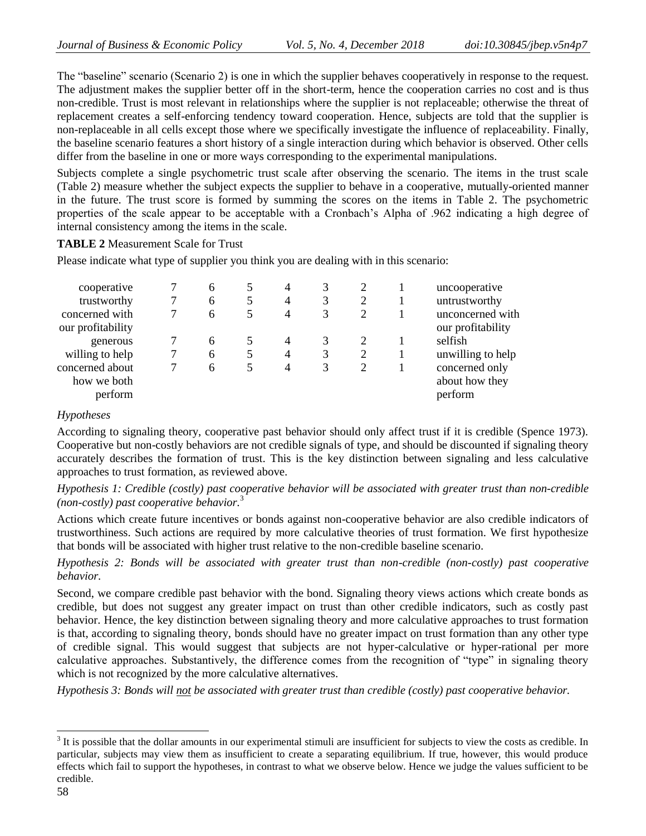The "baseline" scenario (Scenario 2) is one in which the supplier behaves cooperatively in response to the request. The adjustment makes the supplier better off in the short-term, hence the cooperation carries no cost and is thus non-credible. Trust is most relevant in relationships where the supplier is not replaceable; otherwise the threat of replacement creates a self-enforcing tendency toward cooperation. Hence, subjects are told that the supplier is non-replaceable in all cells except those where we specifically investigate the influence of replaceability. Finally, the baseline scenario features a short history of a single interaction during which behavior is observed. Other cells differ from the baseline in one or more ways corresponding to the experimental manipulations.

Subjects complete a single psychometric trust scale after observing the scenario. The items in the trust scale (Table 2) measure whether the subject expects the supplier to behave in a cooperative, mutually-oriented manner in the future. The trust score is formed by summing the scores on the items in Table 2. The psychometric properties of the scale appear to be acceptable with a Cronbach's Alpha of .962 indicating a high degree of internal consistency among the items in the scale.

**TABLE 2** Measurement Scale for Trust

Please indicate what type of supplier you think you are dealing with in this scenario:

| cooperative<br>trustworthy<br>concerned with     | 6<br>6<br>6 | 4<br>$\overline{4}$<br>4 | 2 | uncooperative<br>untrustworthy<br>unconcerned with |
|--------------------------------------------------|-------------|--------------------------|---|----------------------------------------------------|
| our profitability<br>generous<br>willing to help | 6<br>6      | 4<br>4                   |   | our profitability<br>selfish<br>unwilling to help  |
| concerned about<br>how we both<br>perform        | 6           | 4                        |   | concerned only<br>about how they<br>perform        |

#### *Hypotheses*

According to signaling theory, cooperative past behavior should only affect trust if it is credible (Spence 1973). Cooperative but non-costly behaviors are not credible signals of type, and should be discounted if signaling theory accurately describes the formation of trust. This is the key distinction between signaling and less calculative approaches to trust formation, as reviewed above.

*Hypothesis 1: Credible (costly) past cooperative behavior will be associated with greater trust than non-credible (non-costly) past cooperative behavior.*<sup>3</sup>

Actions which create future incentives or bonds against non-cooperative behavior are also credible indicators of trustworthiness. Such actions are required by more calculative theories of trust formation. We first hypothesize that bonds will be associated with higher trust relative to the non-credible baseline scenario.

*Hypothesis 2: Bonds will be associated with greater trust than non-credible (non-costly) past cooperative behavior.*

Second, we compare credible past behavior with the bond. Signaling theory views actions which create bonds as credible, but does not suggest any greater impact on trust than other credible indicators, such as costly past behavior. Hence, the key distinction between signaling theory and more calculative approaches to trust formation is that, according to signaling theory, bonds should have no greater impact on trust formation than any other type of credible signal. This would suggest that subjects are not hyper-calculative or hyper-rational per more calculative approaches. Substantively, the difference comes from the recognition of "type" in signaling theory which is not recognized by the more calculative alternatives.

*Hypothesis 3: Bonds will not be associated with greater trust than credible (costly) past cooperative behavior.*

<sup>&</sup>lt;sup>3</sup> It is possible that the dollar amounts in our experimental stimuli are insufficient for subjects to view the costs as credible. In particular, subjects may view them as insufficient to create a separating equilibrium. If true, however, this would produce effects which fail to support the hypotheses, in contrast to what we observe below. Hence we judge the values sufficient to be credible.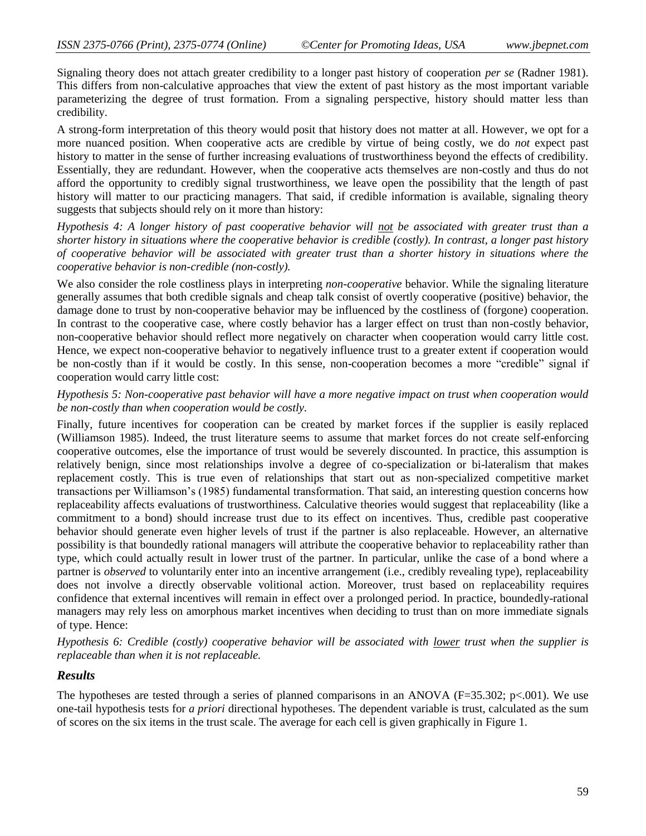Signaling theory does not attach greater credibility to a longer past history of cooperation *per se* (Radner 1981). This differs from non-calculative approaches that view the extent of past history as the most important variable parameterizing the degree of trust formation. From a signaling perspective, history should matter less than credibility.

A strong-form interpretation of this theory would posit that history does not matter at all. However, we opt for a more nuanced position. When cooperative acts are credible by virtue of being costly, we do *not* expect past history to matter in the sense of further increasing evaluations of trustworthiness beyond the effects of credibility. Essentially, they are redundant. However, when the cooperative acts themselves are non-costly and thus do not afford the opportunity to credibly signal trustworthiness, we leave open the possibility that the length of past history will matter to our practicing managers. That said, if credible information is available, signaling theory suggests that subjects should rely on it more than history:

*Hypothesis 4: A longer history of past cooperative behavior will not be associated with greater trust than a shorter history in situations where the cooperative behavior is credible (costly). In contrast, a longer past history of cooperative behavior will be associated with greater trust than a shorter history in situations where the cooperative behavior is non-credible (non-costly).*

We also consider the role costliness plays in interpreting *non-cooperative* behavior. While the signaling literature generally assumes that both credible signals and cheap talk consist of overtly cooperative (positive) behavior, the damage done to trust by non-cooperative behavior may be influenced by the costliness of (forgone) cooperation. In contrast to the cooperative case, where costly behavior has a larger effect on trust than non-costly behavior, non-cooperative behavior should reflect more negatively on character when cooperation would carry little cost. Hence, we expect non-cooperative behavior to negatively influence trust to a greater extent if cooperation would be non-costly than if it would be costly. In this sense, non-cooperation becomes a more "credible" signal if cooperation would carry little cost:

#### *Hypothesis 5: Non-cooperative past behavior will have a more negative impact on trust when cooperation would be non-costly than when cooperation would be costly.*

Finally, future incentives for cooperation can be created by market forces if the supplier is easily replaced (Williamson 1985). Indeed, the trust literature seems to assume that market forces do not create self-enforcing cooperative outcomes, else the importance of trust would be severely discounted. In practice, this assumption is relatively benign, since most relationships involve a degree of co-specialization or bi-lateralism that makes replacement costly. This is true even of relationships that start out as non-specialized competitive market transactions per Williamson's (1985) fundamental transformation. That said, an interesting question concerns how replaceability affects evaluations of trustworthiness. Calculative theories would suggest that replaceability (like a commitment to a bond) should increase trust due to its effect on incentives. Thus, credible past cooperative behavior should generate even higher levels of trust if the partner is also replaceable. However, an alternative possibility is that boundedly rational managers will attribute the cooperative behavior to replaceability rather than type, which could actually result in lower trust of the partner. In particular, unlike the case of a bond where a partner is *observed* to voluntarily enter into an incentive arrangement (i.e., credibly revealing type), replaceability does not involve a directly observable volitional action. Moreover, trust based on replaceability requires confidence that external incentives will remain in effect over a prolonged period. In practice, boundedly-rational managers may rely less on amorphous market incentives when deciding to trust than on more immediate signals of type. Hence:

*Hypothesis 6: Credible (costly) cooperative behavior will be associated with lower trust when the supplier is replaceable than when it is not replaceable.*

## *Results*

The hypotheses are tested through a series of planned comparisons in an ANOVA ( $F=35.302$ ; p<.001). We use one-tail hypothesis tests for *a priori* directional hypotheses. The dependent variable is trust, calculated as the sum of scores on the six items in the trust scale. The average for each cell is given graphically in Figure 1.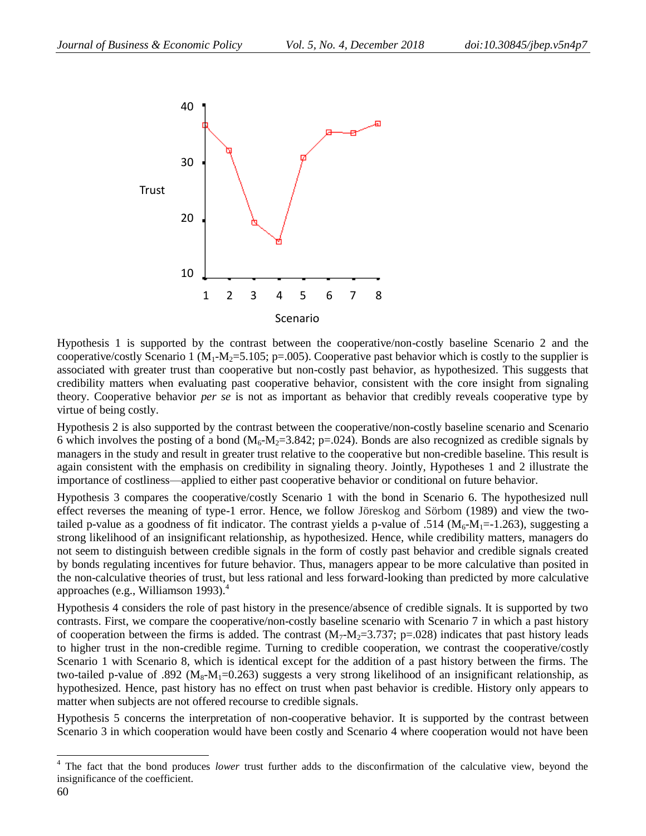

Hypothesis 1 is supported by the contrast between the cooperative/non-costly baseline Scenario 2 and the cooperative/costly Scenario 1 ( $M_1$ - $M_2$ =5.105; p=.005). Cooperative past behavior which is costly to the supplier is associated with greater trust than cooperative but non-costly past behavior, as hypothesized. This suggests that credibility matters when evaluating past cooperative behavior, consistent with the core insight from signaling theory. Cooperative behavior *per se* is not as important as behavior that credibly reveals cooperative type by virtue of being costly.

Hypothesis 2 is also supported by the contrast between the cooperative/non-costly baseline scenario and Scenario 6 which involves the posting of a bond ( $M_6$ - $M_2$ =3.842; p=.024). Bonds are also recognized as credible signals by managers in the study and result in greater trust relative to the cooperative but non-credible baseline. This result is again consistent with the emphasis on credibility in signaling theory. Jointly, Hypotheses 1 and 2 illustrate the importance of costliness—applied to either past cooperative behavior or conditional on future behavior.

Hypothesis 3 compares the cooperative/costly Scenario 1 with the bond in Scenario 6. The hypothesized null effect reverses the meaning of type-1 error. Hence, we follow Jöreskog and Sörbom (1989) and view the twotailed p-value as a goodness of fit indicator. The contrast yields a p-value of .514 ( $M_6$ - $M_1$ =-1.263), suggesting a strong likelihood of an insignificant relationship, as hypothesized. Hence, while credibility matters, managers do not seem to distinguish between credible signals in the form of costly past behavior and credible signals created by bonds regulating incentives for future behavior. Thus, managers appear to be more calculative than posited in the non-calculative theories of trust, but less rational and less forward-looking than predicted by more calculative approaches (e.g., Williamson 1993). $<sup>4</sup>$ </sup>

Hypothesis 4 considers the role of past history in the presence/absence of credible signals. It is supported by two contrasts. First, we compare the cooperative/non-costly baseline scenario with Scenario 7 in which a past history of cooperation between the firms is added. The contrast  $(M_7-M_2=3.737; p=.028)$  indicates that past history leads to higher trust in the non-credible regime. Turning to credible cooperation, we contrast the cooperative/costly Scenario 1 with Scenario 8, which is identical except for the addition of a past history between the firms. The two-tailed p-value of .892 ( $M_8$ - $M_1$ =0.263) suggests a very strong likelihood of an insignificant relationship, as hypothesized. Hence, past history has no effect on trust when past behavior is credible. History only appears to matter when subjects are not offered recourse to credible signals.

Hypothesis 5 concerns the interpretation of non-cooperative behavior. It is supported by the contrast between Scenario 3 in which cooperation would have been costly and Scenario 4 where cooperation would not have been

 $\overline{a}$ 

<sup>&</sup>lt;sup>4</sup> The fact that the bond produces *lower* trust further adds to the disconfirmation of the calculative view, beyond the insignificance of the coefficient.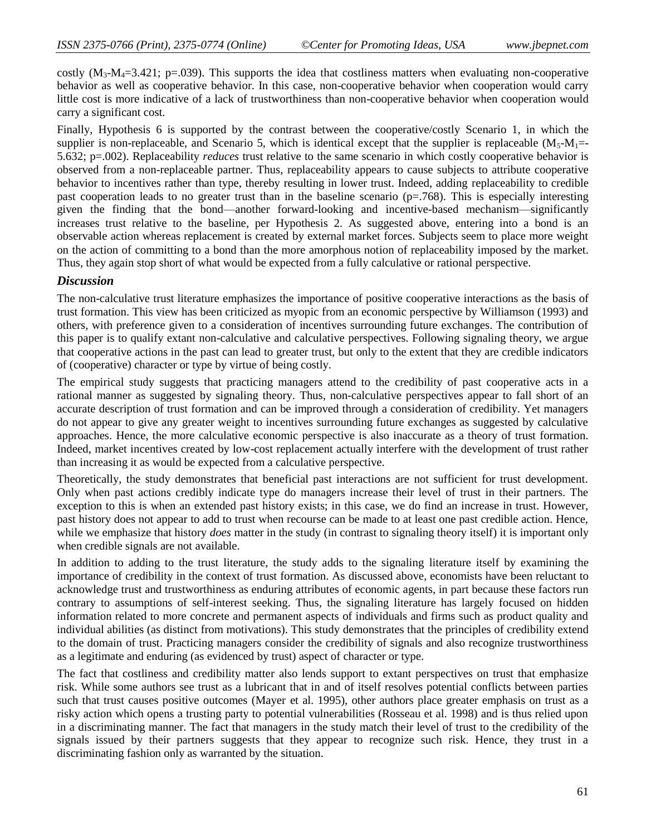costly  $(M_3-M_4=3.421$ ; p=.039). This supports the idea that costliness matters when evaluating non-cooperative behavior as well as cooperative behavior. In this case, non-cooperative behavior when cooperation would carry little cost is more indicative of a lack of trustworthiness than non-cooperative behavior when cooperation would carry a significant cost.

Finally, Hypothesis 6 is supported by the contrast between the cooperative/costly Scenario 1, in which the supplier is non-replaceable, and Scenario 5, which is identical except that the supplier is replaceable  $(M_5-M_1=$ 5.632; p=.002). Replaceability *reduces* trust relative to the same scenario in which costly cooperative behavior is observed from a non-replaceable partner. Thus, replaceability appears to cause subjects to attribute cooperative behavior to incentives rather than type, thereby resulting in lower trust. Indeed, adding replaceability to credible past cooperation leads to no greater trust than in the baseline scenario ( $p=768$ ). This is especially interesting given the finding that the bond—another forward-looking and incentive-based mechanism—significantly increases trust relative to the baseline, per Hypothesis 2. As suggested above, entering into a bond is an observable action whereas replacement is created by external market forces. Subjects seem to place more weight on the action of committing to a bond than the more amorphous notion of replaceability imposed by the market. Thus, they again stop short of what would be expected from a fully calculative or rational perspective.

## *Discussion*

The non-calculative trust literature emphasizes the importance of positive cooperative interactions as the basis of trust formation. This view has been criticized as myopic from an economic perspective by Williamson (1993) and others, with preference given to a consideration of incentives surrounding future exchanges. The contribution of this paper is to qualify extant non-calculative and calculative perspectives. Following signaling theory, we argue that cooperative actions in the past can lead to greater trust, but only to the extent that they are credible indicators of (cooperative) character or type by virtue of being costly.

The empirical study suggests that practicing managers attend to the credibility of past cooperative acts in a rational manner as suggested by signaling theory. Thus, non-calculative perspectives appear to fall short of an accurate description of trust formation and can be improved through a consideration of credibility. Yet managers do not appear to give any greater weight to incentives surrounding future exchanges as suggested by calculative approaches. Hence, the more calculative economic perspective is also inaccurate as a theory of trust formation. Indeed, market incentives created by low-cost replacement actually interfere with the development of trust rather than increasing it as would be expected from a calculative perspective.

Theoretically, the study demonstrates that beneficial past interactions are not sufficient for trust development. Only when past actions credibly indicate type do managers increase their level of trust in their partners. The exception to this is when an extended past history exists; in this case, we do find an increase in trust. However, past history does not appear to add to trust when recourse can be made to at least one past credible action. Hence, while we emphasize that history *does* matter in the study (in contrast to signaling theory itself) it is important only when credible signals are not available.

In addition to adding to the trust literature, the study adds to the signaling literature itself by examining the importance of credibility in the context of trust formation. As discussed above, economists have been reluctant to acknowledge trust and trustworthiness as enduring attributes of economic agents, in part because these factors run contrary to assumptions of self-interest seeking. Thus, the signaling literature has largely focused on hidden information related to more concrete and permanent aspects of individuals and firms such as product quality and individual abilities (as distinct from motivations). This study demonstrates that the principles of credibility extend to the domain of trust. Practicing managers consider the credibility of signals and also recognize trustworthiness as a legitimate and enduring (as evidenced by trust) aspect of character or type.

The fact that costliness and credibility matter also lends support to extant perspectives on trust that emphasize risk. While some authors see trust as a lubricant that in and of itself resolves potential conflicts between parties such that trust causes positive outcomes (Mayer et al. 1995), other authors place greater emphasis on trust as a risky action which opens a trusting party to potential vulnerabilities (Rosseau et al. 1998) and is thus relied upon in a discriminating manner. The fact that managers in the study match their level of trust to the credibility of the signals issued by their partners suggests that they appear to recognize such risk. Hence, they trust in a discriminating fashion only as warranted by the situation.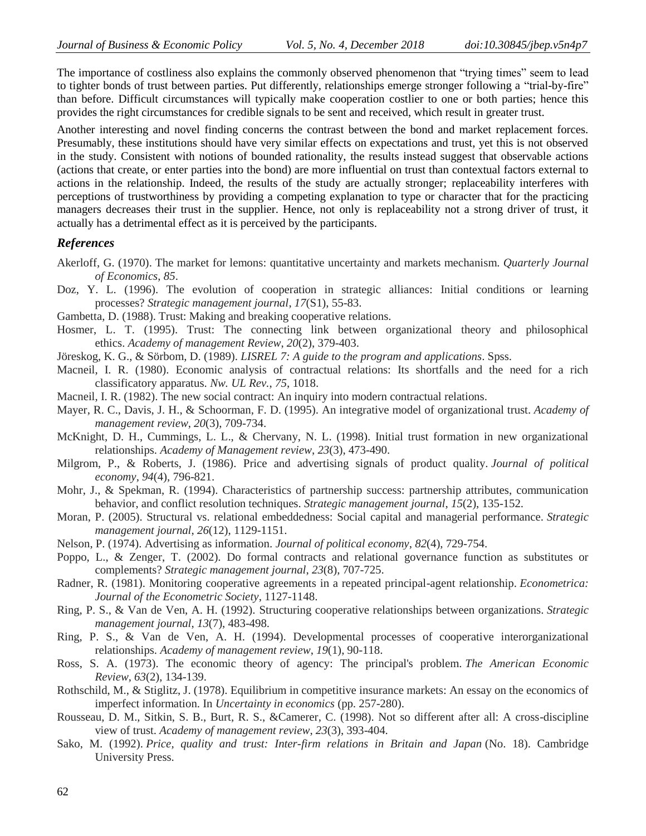The importance of costliness also explains the commonly observed phenomenon that "trying times" seem to lead to tighter bonds of trust between parties. Put differently, relationships emerge stronger following a "trial-by-fire" than before. Difficult circumstances will typically make cooperation costlier to one or both parties; hence this provides the right circumstances for credible signals to be sent and received, which result in greater trust.

Another interesting and novel finding concerns the contrast between the bond and market replacement forces. Presumably, these institutions should have very similar effects on expectations and trust, yet this is not observed in the study. Consistent with notions of bounded rationality, the results instead suggest that observable actions (actions that create, or enter parties into the bond) are more influential on trust than contextual factors external to actions in the relationship. Indeed, the results of the study are actually stronger; replaceability interferes with perceptions of trustworthiness by providing a competing explanation to type or character that for the practicing managers decreases their trust in the supplier. Hence, not only is replaceability not a strong driver of trust, it actually has a detrimental effect as it is perceived by the participants.

#### *References*

- Akerloff, G. (1970). The market for lemons: quantitative uncertainty and markets mechanism. *Quarterly Journal of Economics*, *85*.
- Doz, Y. L. (1996). The evolution of cooperation in strategic alliances: Initial conditions or learning processes? *Strategic management journal*, *17*(S1), 55-83.
- Gambetta, D. (1988). Trust: Making and breaking cooperative relations.
- Hosmer, L. T. (1995). Trust: The connecting link between organizational theory and philosophical ethics. *Academy of management Review*, *20*(2), 379-403.
- Jöreskog, K. G., & Sörbom, D. (1989). *LISREL 7: A guide to the program and applications*. Spss.
- Macneil, I. R. (1980). Economic analysis of contractual relations: Its shortfalls and the need for a rich classificatory apparatus. *Nw. UL Rev.*, *75*, 1018.
- Macneil, I. R. (1982). The new social contract: An inquiry into modern contractual relations.
- Mayer, R. C., Davis, J. H., & Schoorman, F. D. (1995). An integrative model of organizational trust. *Academy of management review*, *20*(3), 709-734.
- McKnight, D. H., Cummings, L. L., & Chervany, N. L. (1998). Initial trust formation in new organizational relationships. *Academy of Management review*, *23*(3), 473-490.
- Milgrom, P., & Roberts, J. (1986). Price and advertising signals of product quality. *Journal of political economy*, *94*(4), 796-821.
- Mohr, J., & Spekman, R. (1994). Characteristics of partnership success: partnership attributes, communication behavior, and conflict resolution techniques. *Strategic management journal*, *15*(2), 135-152.
- Moran, P. (2005). Structural vs. relational embeddedness: Social capital and managerial performance. *Strategic management journal*, *26*(12), 1129-1151.
- Nelson, P. (1974). Advertising as information. *Journal of political economy*, *82*(4), 729-754.
- Poppo, L., & Zenger, T. (2002). Do formal contracts and relational governance function as substitutes or complements? *Strategic management journal*, *23*(8), 707-725.
- Radner, R. (1981). Monitoring cooperative agreements in a repeated principal-agent relationship. *Econometrica: Journal of the Econometric Society*, 1127-1148.
- Ring, P. S., & Van de Ven, A. H. (1992). Structuring cooperative relationships between organizations. *Strategic management journal*, *13*(7), 483-498.
- Ring, P. S., & Van de Ven, A. H. (1994). Developmental processes of cooperative interorganizational relationships. *Academy of management review*, *19*(1), 90-118.
- Ross, S. A. (1973). The economic theory of agency: The principal's problem. *The American Economic Review*, *63*(2), 134-139.
- Rothschild, M., & Stiglitz, J. (1978). Equilibrium in competitive insurance markets: An essay on the economics of imperfect information. In *Uncertainty in economics* (pp. 257-280).
- Rousseau, D. M., Sitkin, S. B., Burt, R. S., &Camerer, C. (1998). Not so different after all: A cross-discipline view of trust. *Academy of management review*, *23*(3), 393-404.
- Sako, M. (1992). *Price, quality and trust: Inter-firm relations in Britain and Japan* (No. 18). Cambridge University Press.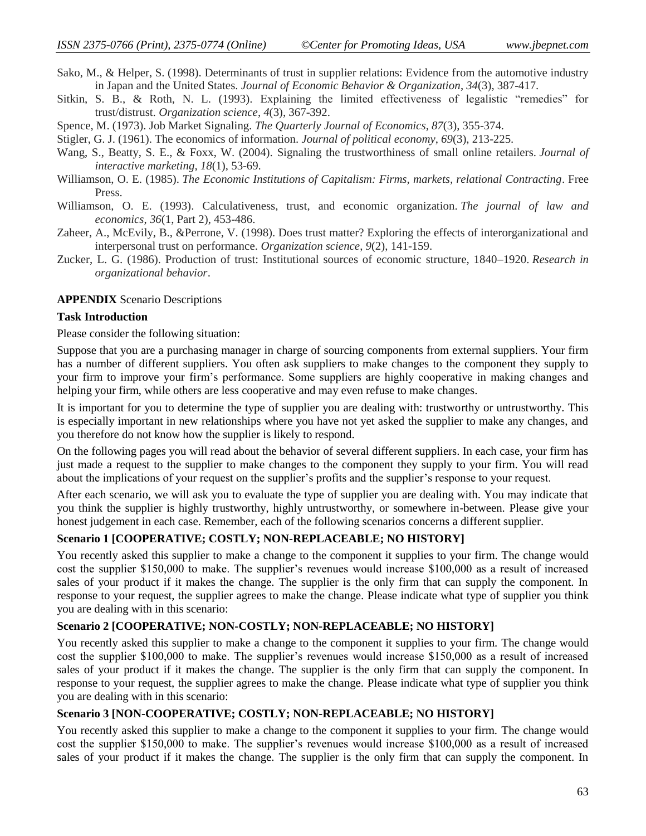- Sako, M., & Helper, S. (1998). Determinants of trust in supplier relations: Evidence from the automotive industry in Japan and the United States. *Journal of Economic Behavior & Organization*, *34*(3), 387-417.
- Sitkin, S. B., & Roth, N. L. (1993). Explaining the limited effectiveness of legalistic "remedies" for trust/distrust. *Organization science*, *4*(3), 367-392.
- Spence, M. (1973). Job Market Signaling. *The Quarterly Journal of Economics*, *87*(3), 355-374.
- Stigler, G. J. (1961). The economics of information. *Journal of political economy*, *69*(3), 213-225.
- Wang, S., Beatty, S. E., & Foxx, W. (2004). Signaling the trustworthiness of small online retailers. *Journal of interactive marketing*, *18*(1), 53-69.
- Williamson, O. E. (1985). *The Economic Institutions of Capitalism: Firms, markets, relational Contracting*. Free Press.
- Williamson, O. E. (1993). Calculativeness, trust, and economic organization. *The journal of law and economics*, *36*(1, Part 2), 453-486.
- Zaheer, A., McEvily, B., &Perrone, V. (1998). Does trust matter? Exploring the effects of interorganizational and interpersonal trust on performance. *Organization science*, *9*(2), 141-159.
- Zucker, L. G. (1986). Production of trust: Institutional sources of economic structure, 1840–1920. *Research in organizational behavior*.

#### **APPENDIX** Scenario Descriptions

#### **Task Introduction**

Please consider the following situation:

Suppose that you are a purchasing manager in charge of sourcing components from external suppliers. Your firm has a number of different suppliers. You often ask suppliers to make changes to the component they supply to your firm to improve your firm's performance. Some suppliers are highly cooperative in making changes and helping your firm, while others are less cooperative and may even refuse to make changes.

It is important for you to determine the type of supplier you are dealing with: trustworthy or untrustworthy. This is especially important in new relationships where you have not yet asked the supplier to make any changes, and you therefore do not know how the supplier is likely to respond.

On the following pages you will read about the behavior of several different suppliers. In each case, your firm has just made a request to the supplier to make changes to the component they supply to your firm. You will read about the implications of your request on the supplier's profits and the supplier's response to your request.

After each scenario, we will ask you to evaluate the type of supplier you are dealing with. You may indicate that you think the supplier is highly trustworthy, highly untrustworthy, or somewhere in-between. Please give your honest judgement in each case. Remember, each of the following scenarios concerns a different supplier.

#### **Scenario 1 [COOPERATIVE; COSTLY; NON-REPLACEABLE; NO HISTORY]**

You recently asked this supplier to make a change to the component it supplies to your firm. The change would cost the supplier \$150,000 to make. The supplier's revenues would increase \$100,000 as a result of increased sales of your product if it makes the change. The supplier is the only firm that can supply the component. In response to your request, the supplier agrees to make the change. Please indicate what type of supplier you think you are dealing with in this scenario:

#### **Scenario 2 [COOPERATIVE; NON-COSTLY; NON-REPLACEABLE; NO HISTORY]**

You recently asked this supplier to make a change to the component it supplies to your firm. The change would cost the supplier \$100,000 to make. The supplier's revenues would increase \$150,000 as a result of increased sales of your product if it makes the change. The supplier is the only firm that can supply the component. In response to your request, the supplier agrees to make the change. Please indicate what type of supplier you think you are dealing with in this scenario:

#### **Scenario 3 [NON-COOPERATIVE; COSTLY; NON-REPLACEABLE; NO HISTORY]**

You recently asked this supplier to make a change to the component it supplies to your firm. The change would cost the supplier \$150,000 to make. The supplier's revenues would increase \$100,000 as a result of increased sales of your product if it makes the change. The supplier is the only firm that can supply the component. In